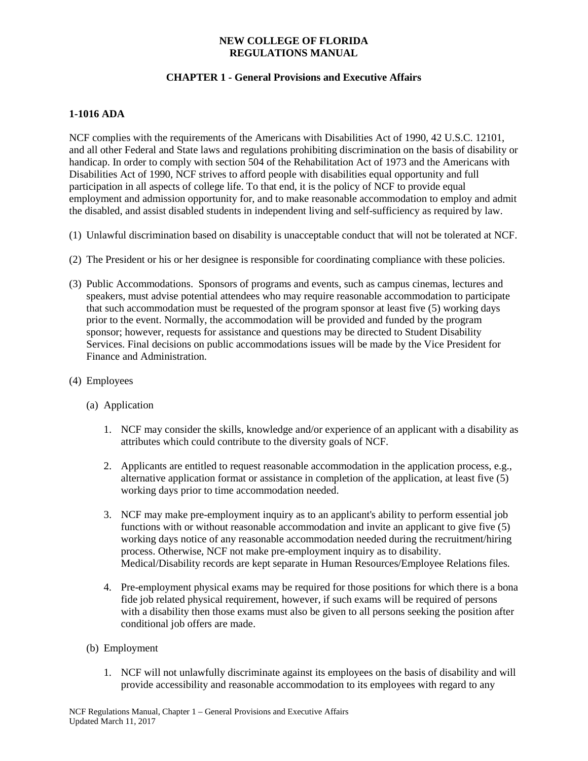## **CHAPTER 1 - General Provisions and Executive Affairs**

## **1-1016 ADA**

NCF complies with the requirements of the Americans with Disabilities Act of 1990, 42 U.S.C. 12101, and all other Federal and State laws and regulations prohibiting discrimination on the basis of disability or handicap. In order to comply with section 504 of the Rehabilitation Act of 1973 and the Americans with Disabilities Act of 1990, NCF strives to afford people with disabilities equal opportunity and full participation in all aspects of college life. To that end, it is the policy of NCF to provide equal employment and admission opportunity for, and to make reasonable accommodation to employ and admit the disabled, and assist disabled students in independent living and self-sufficiency as required by law.

- (1) Unlawful discrimination based on disability is unacceptable conduct that will not be tolerated at NCF.
- (2) The President or his or her designee is responsible for coordinating compliance with these policies.
- (3) Public Accommodations. Sponsors of programs and events, such as campus cinemas, lectures and speakers, must advise potential attendees who may require reasonable accommodation to participate that such accommodation must be requested of the program sponsor at least five (5) working days prior to the event. Normally, the accommodation will be provided and funded by the program sponsor; however, requests for assistance and questions may be directed to Student Disability Services. Final decisions on public accommodations issues will be made by the Vice President for Finance and Administration.
- (4) Employees
	- (a) Application
		- 1. NCF may consider the skills, knowledge and/or experience of an applicant with a disability as attributes which could contribute to the diversity goals of NCF.
		- 2. Applicants are entitled to request reasonable accommodation in the application process, e.g., alternative application format or assistance in completion of the application, at least five (5) working days prior to time accommodation needed.
		- 3. NCF may make pre-employment inquiry as to an applicant's ability to perform essential job functions with or without reasonable accommodation and invite an applicant to give five (5) working days notice of any reasonable accommodation needed during the recruitment/hiring process. Otherwise, NCF not make pre-employment inquiry as to disability. Medical/Disability records are kept separate in Human Resources/Employee Relations files.
		- 4. Pre-employment physical exams may be required for those positions for which there is a bona fide job related physical requirement, however, if such exams will be required of persons with a disability then those exams must also be given to all persons seeking the position after conditional job offers are made.
	- (b) Employment
		- 1. NCF will not unlawfully discriminate against its employees on the basis of disability and will provide accessibility and reasonable accommodation to its employees with regard to any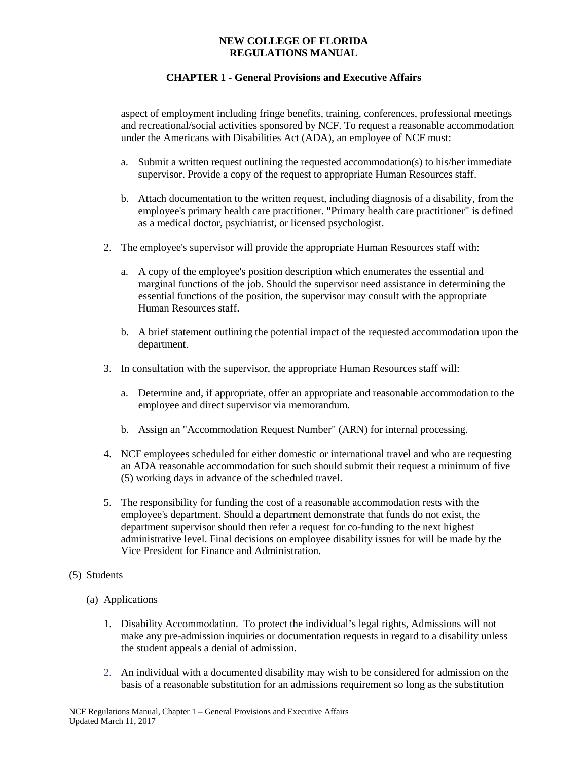## **CHAPTER 1 - General Provisions and Executive Affairs**

aspect of employment including fringe benefits, training, conferences, professional meetings and recreational/social activities sponsored by NCF. To request a reasonable accommodation under the Americans with Disabilities Act (ADA), an employee of NCF must:

- a. Submit a written request outlining the requested accommodation(s) to his/her immediate supervisor. Provide a copy of the request to appropriate Human Resources staff.
- b. Attach documentation to the written request, including diagnosis of a disability, from the employee's primary health care practitioner. "Primary health care practitioner" is defined as a medical doctor, psychiatrist, or licensed psychologist.
- 2. The employee's supervisor will provide the appropriate Human Resources staff with:
	- a. A copy of the employee's position description which enumerates the essential and marginal functions of the job. Should the supervisor need assistance in determining the essential functions of the position, the supervisor may consult with the appropriate Human Resources staff.
	- b. A brief statement outlining the potential impact of the requested accommodation upon the department.
- 3. In consultation with the supervisor, the appropriate Human Resources staff will:
	- a. Determine and, if appropriate, offer an appropriate and reasonable accommodation to the employee and direct supervisor via memorandum.
	- b. Assign an "Accommodation Request Number" (ARN) for internal processing.
- 4. NCF employees scheduled for either domestic or international travel and who are requesting an ADA reasonable accommodation for such should submit their request a minimum of five (5) working days in advance of the scheduled travel.
- 5. The responsibility for funding the cost of a reasonable accommodation rests with the employee's department. Should a department demonstrate that funds do not exist, the department supervisor should then refer a request for co-funding to the next highest administrative level. Final decisions on employee disability issues for will be made by the Vice President for Finance and Administration.

### (5) Students

- (a) Applications
	- 1. Disability Accommodation. To protect the individual's legal rights, Admissions will not make any pre-admission inquiries or documentation requests in regard to a disability unless the student appeals a denial of admission.
	- 2. An individual with a documented disability may wish to be considered for admission on the basis of a reasonable substitution for an admissions requirement so long as the substitution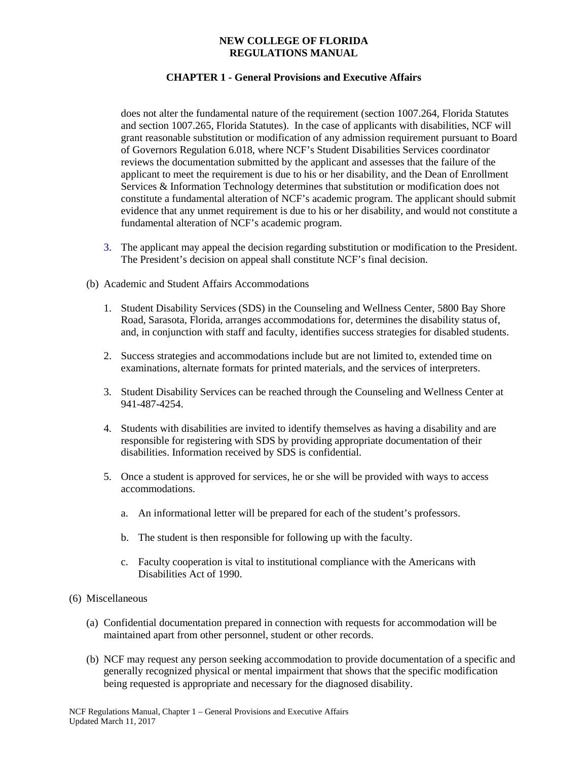# **CHAPTER 1 - General Provisions and Executive Affairs**

does not alter the fundamental nature of the requirement (section 1007.264, Florida Statutes and section 1007.265, Florida Statutes). In the case of applicants with disabilities, NCF will grant reasonable substitution or modification of any admission requirement pursuant to Board of Governors Regulation 6.018, where NCF's Student Disabilities Services coordinator reviews the documentation submitted by the applicant and assesses that the failure of the applicant to meet the requirement is due to his or her disability, and the Dean of Enrollment Services & Information Technology determines that substitution or modification does not constitute a fundamental alteration of NCF's academic program. The applicant should submit evidence that any unmet requirement is due to his or her disability, and would not constitute a fundamental alteration of NCF's academic program.

- 3. The applicant may appeal the decision regarding substitution or modification to the President. The President's decision on appeal shall constitute NCF's final decision.
- (b) Academic and Student Affairs Accommodations
	- 1. Student Disability Services (SDS) in the Counseling and Wellness Center, 5800 Bay Shore Road, Sarasota, Florida, arranges accommodations for, determines the disability status of, and, in conjunction with staff and faculty, identifies success strategies for disabled students.
	- 2. Success strategies and accommodations include but are not limited to, extended time on examinations, alternate formats for printed materials, and the services of interpreters.
	- 3. Student Disability Services can be reached through the Counseling and Wellness Center at 941-487-4254.
	- 4. Students with disabilities are invited to identify themselves as having a disability and are responsible for registering with SDS by providing appropriate documentation of their disabilities. Information received by SDS is confidential.
	- 5. Once a student is approved for services, he or she will be provided with ways to access accommodations.
		- a. An informational letter will be prepared for each of the student's professors.
		- b. The student is then responsible for following up with the faculty.
		- c. Faculty cooperation is vital to institutional compliance with the Americans with Disabilities Act of 1990.
- (6) Miscellaneous
	- (a) Confidential documentation prepared in connection with requests for accommodation will be maintained apart from other personnel, student or other records.
	- (b) NCF may request any person seeking accommodation to provide documentation of a specific and generally recognized physical or mental impairment that shows that the specific modification being requested is appropriate and necessary for the diagnosed disability.